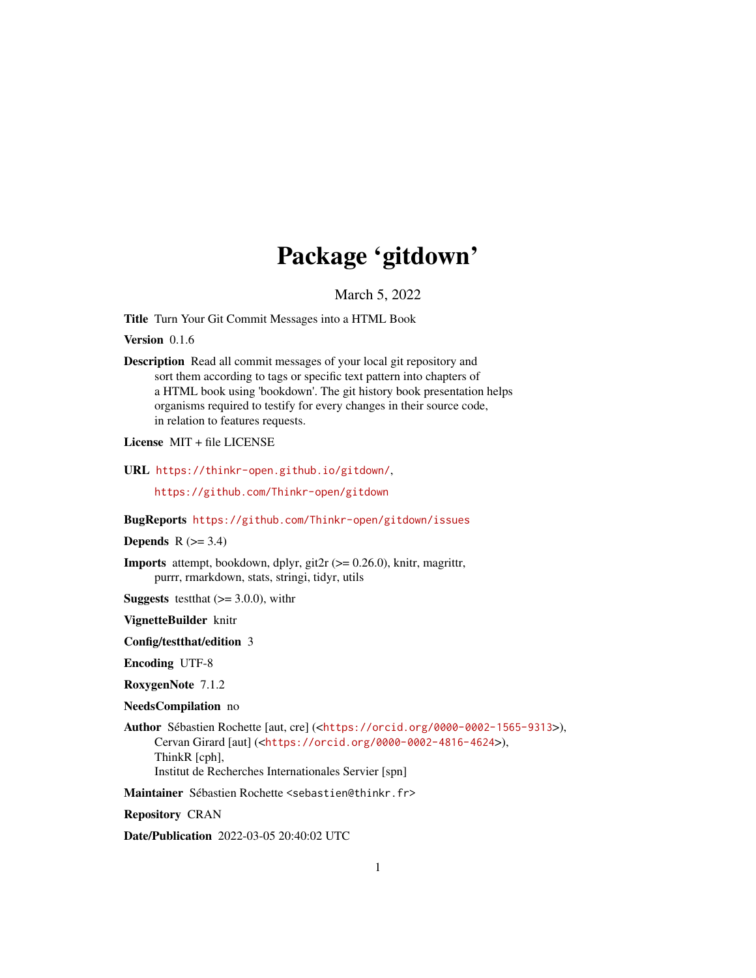# Package 'gitdown'

March 5, 2022

<span id="page-0-0"></span>Title Turn Your Git Commit Messages into a HTML Book

Version 0.1.6

Description Read all commit messages of your local git repository and sort them according to tags or specific text pattern into chapters of a HTML book using 'bookdown'. The git history book presentation helps organisms required to testify for every changes in their source code, in relation to features requests.

License MIT + file LICENSE

URL <https://thinkr-open.github.io/gitdown/>,

<https://github.com/Thinkr-open/gitdown>

#### BugReports <https://github.com/Thinkr-open/gitdown/issues>

**Depends**  $R$  ( $>= 3.4$ )

Imports attempt, bookdown, dplyr, git2r (>= 0.26.0), knitr, magrittr, purrr, rmarkdown, stats, stringi, tidyr, utils

**Suggests** test that  $(>= 3.0.0)$ , with r

VignetteBuilder knitr

Config/testthat/edition 3

Encoding UTF-8

RoxygenNote 7.1.2

NeedsCompilation no

Author Sébastien Rochette [aut, cre] (<<https://orcid.org/0000-0002-1565-9313>>), Cervan Girard [aut] (<<https://orcid.org/0000-0002-4816-4624>>), ThinkR [cph], Institut de Recherches Internationales Servier [spn]

Maintainer Sébastien Rochette <sebastien@thinkr.fr>

Repository CRAN

Date/Publication 2022-03-05 20:40:02 UTC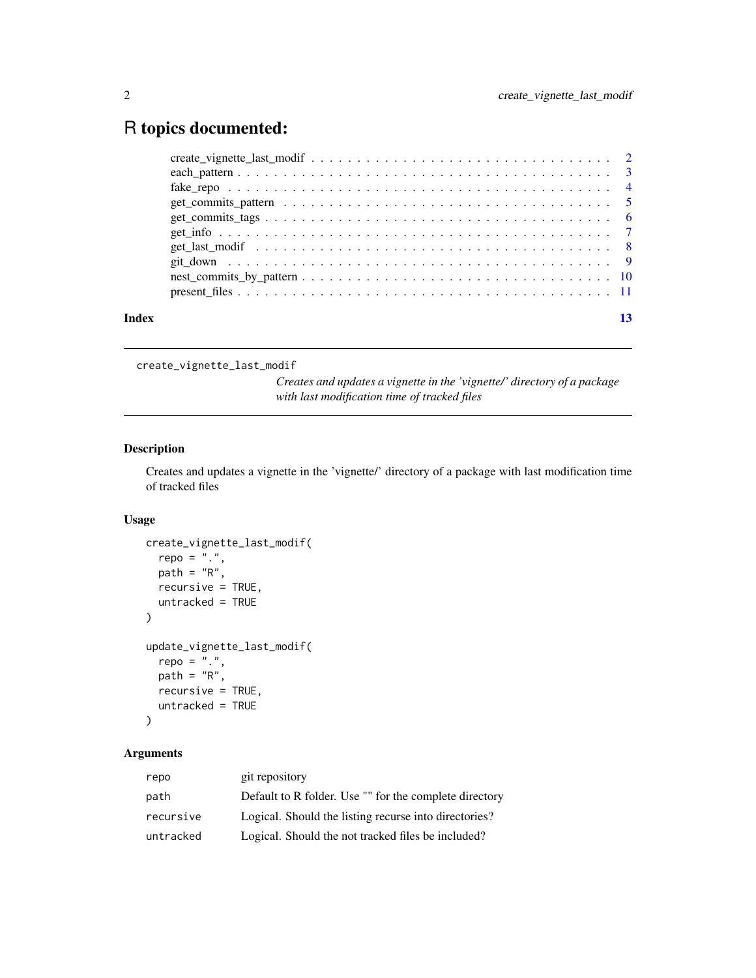# <span id="page-1-0"></span>R topics documented:

| Index |  |
|-------|--|
|       |  |
|       |  |
|       |  |
|       |  |
|       |  |
|       |  |
|       |  |
|       |  |
|       |  |
|       |  |

create\_vignette\_last\_modif

*Creates and updates a vignette in the 'vignette/' directory of a package with last modification time of tracked files*

# Description

Creates and updates a vignette in the 'vignette/' directory of a package with last modification time of tracked files

# Usage

```
create_vignette_last_modif(
 repo = "."path = "R",recursive = TRUE,
 untracked = TRUE
)
update_vignette_last_modif(
 repo = ".''.path = "R",recursive = TRUE,
 untracked = TRUE
)
```
# Arguments

| repo      | git repository                                         |
|-----------|--------------------------------------------------------|
| path      | Default to R folder. Use "" for the complete directory |
| recursive | Logical. Should the listing recurse into directories?  |
| untracked | Logical. Should the not tracked files be included?     |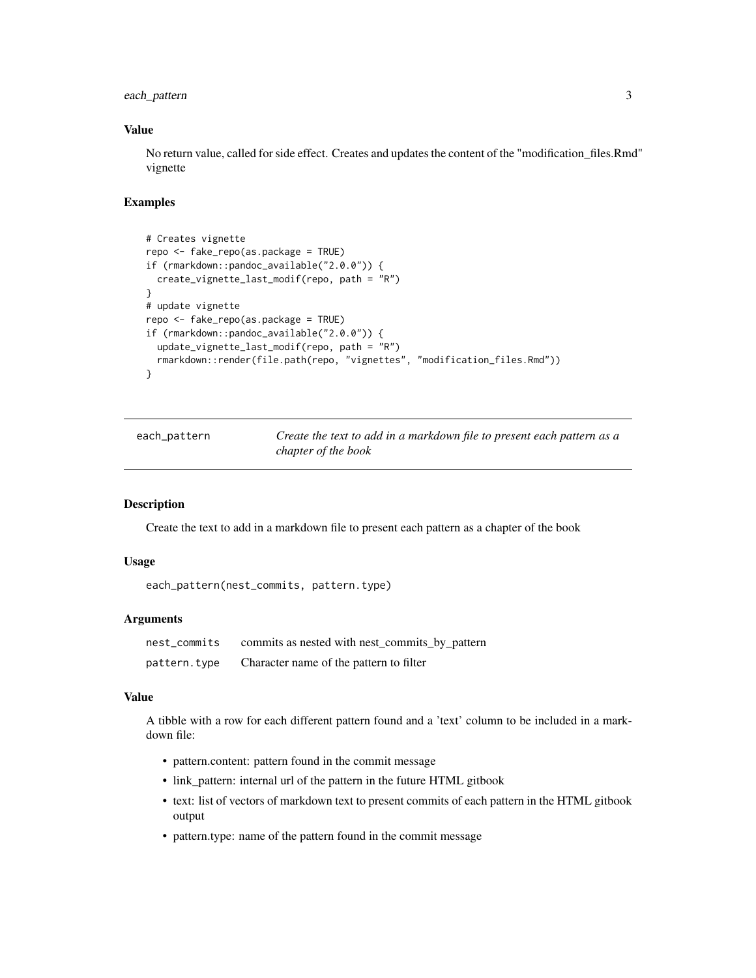# <span id="page-2-0"></span>each\_pattern 3

# Value

No return value, called for side effect. Creates and updates the content of the "modification\_files.Rmd" vignette

# Examples

```
# Creates vignette
repo <- fake_repo(as.package = TRUE)
if (rmarkdown::pandoc_available("2.0.0")) {
 create_vignette_last_modif(repo, path = "R")
}
# update vignette
repo <- fake_repo(as.package = TRUE)
if (rmarkdown::pandoc_available("2.0.0")) {
 update_vignette_last_modif(repo, path = "R")
 rmarkdown::render(file.path(repo, "vignettes", "modification_files.Rmd"))
}
```

| each_pattern | Create the text to add in a markdown file to present each pattern as a |
|--------------|------------------------------------------------------------------------|
|              | chapter of the book                                                    |

# Description

Create the text to add in a markdown file to present each pattern as a chapter of the book

## Usage

```
each_pattern(nest_commits, pattern.type)
```
# Arguments

| nest_commits | commits as nested with nest_commits_by_pattern |
|--------------|------------------------------------------------|
| pattern.type | Character name of the pattern to filter        |

# Value

A tibble with a row for each different pattern found and a 'text' column to be included in a markdown file:

- pattern.content: pattern found in the commit message
- link\_pattern: internal url of the pattern in the future HTML gitbook
- text: list of vectors of markdown text to present commits of each pattern in the HTML gitbook output
- pattern.type: name of the pattern found in the commit message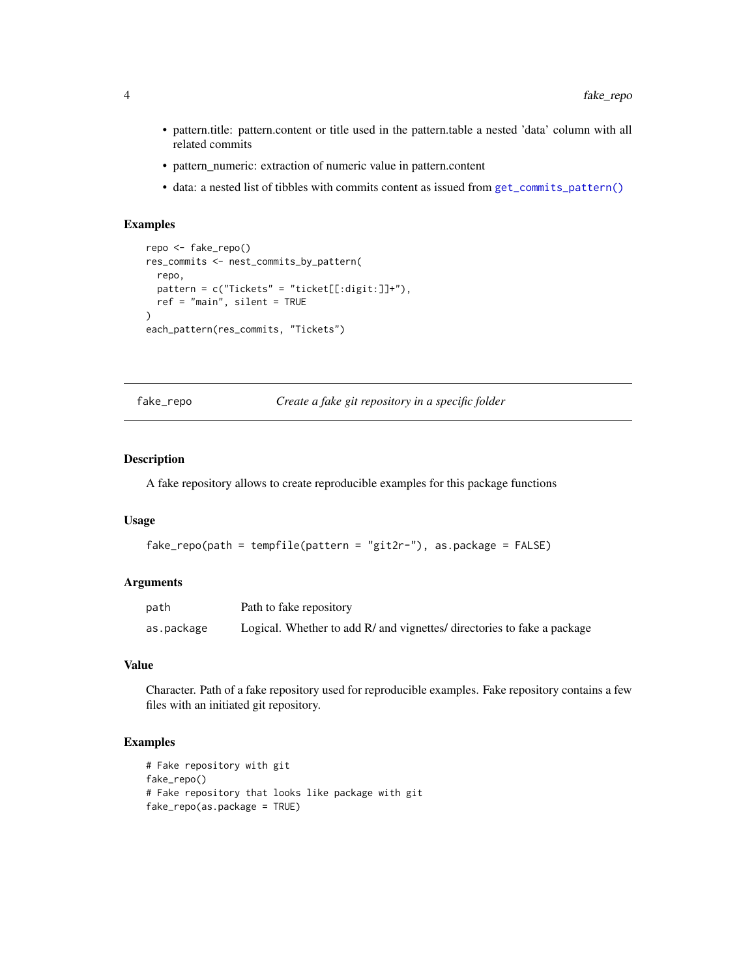- pattern.title: pattern.content or title used in the pattern.table a nested 'data' column with all related commits
- pattern\_numeric: extraction of numeric value in pattern.content
- data: a nested list of tibbles with commits content as issued from [get\\_commits\\_pattern\(\)](#page-4-1)

# Examples

```
repo <- fake_repo()
res_commits <- nest_commits_by_pattern(
  repo,
 pattern = c("Tickets" = "ticket[[:digit:]]+"),
  ref = "main", silent = TRUE
\mathcal{L}each_pattern(res_commits, "Tickets")
```
fake\_repo *Create a fake git repository in a specific folder*

### Description

A fake repository allows to create reproducible examples for this package functions

#### Usage

```
fake_repo(path = tempfile(pattern = "git2r-"), as.package = FALSE)
```
# Arguments

| path       | Path to fake repository                                                 |
|------------|-------------------------------------------------------------------------|
| as.package | Logical. Whether to add R/ and vignettes/ directories to fake a package |

# Value

Character. Path of a fake repository used for reproducible examples. Fake repository contains a few files with an initiated git repository.

```
# Fake repository with git
fake_repo()
# Fake repository that looks like package with git
fake_repo(as.package = TRUE)
```
<span id="page-3-0"></span>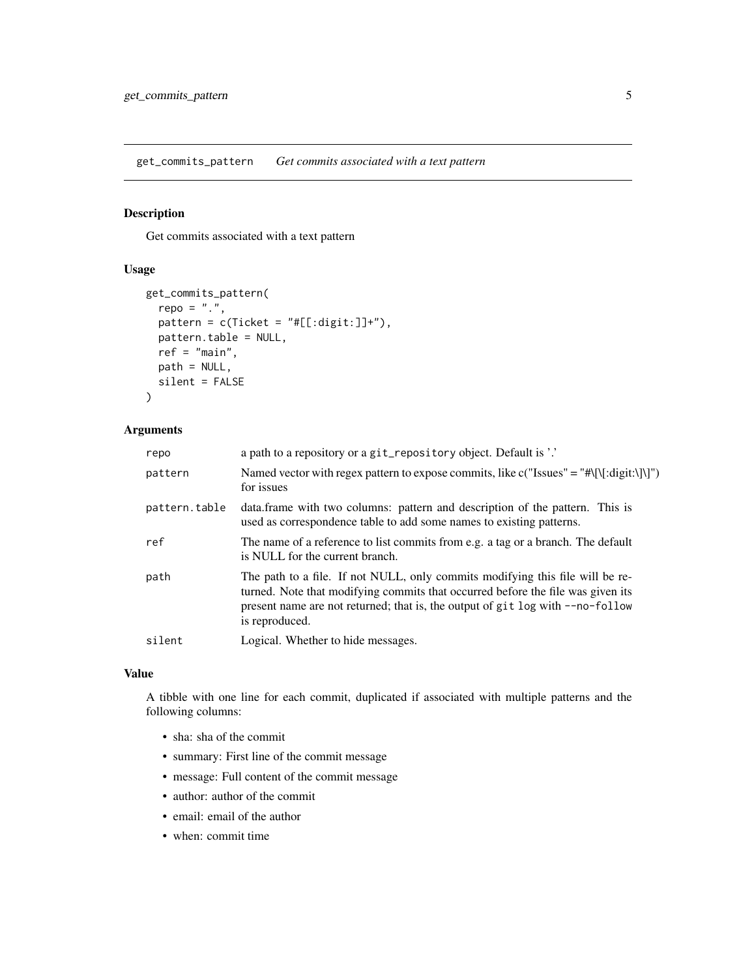<span id="page-4-1"></span><span id="page-4-0"></span>get\_commits\_pattern *Get commits associated with a text pattern*

# Description

Get commits associated with a text pattern

# Usage

```
get_commits_pattern(
  repo = "."pattern = c(Ticket = "#[[:digit:]]+"),pattern.table = NULL,
  ref = "main",
 path = NULL,
  silent = FALSE
\mathcal{L}
```
# Arguments

| repo          | a path to a repository or a git_repository object. Default is '.'                                                                                                                                                                                                    |
|---------------|----------------------------------------------------------------------------------------------------------------------------------------------------------------------------------------------------------------------------------------------------------------------|
| pattern       | Named vector with regex pattern to expose commits, like c("Issues" = "#\[\[:digit:\]\]")<br>for issues                                                                                                                                                               |
| pattern.table | data. frame with two columns: pattern and description of the pattern. This is<br>used as correspondence table to add some names to existing patterns.                                                                                                                |
| ref           | The name of a reference to list commits from e.g. a tag or a branch. The default<br>is NULL for the current branch.                                                                                                                                                  |
| path          | The path to a file. If not NULL, only commits modifying this file will be re-<br>turned. Note that modifying commits that occurred before the file was given its<br>present name are not returned; that is, the output of git log with --no-follow<br>is reproduced. |
| silent        | Logical. Whether to hide messages.                                                                                                                                                                                                                                   |
|               |                                                                                                                                                                                                                                                                      |

# Value

A tibble with one line for each commit, duplicated if associated with multiple patterns and the following columns:

- sha: sha of the commit
- summary: First line of the commit message
- message: Full content of the commit message
- author: author of the commit
- email: email of the author
- when: commit time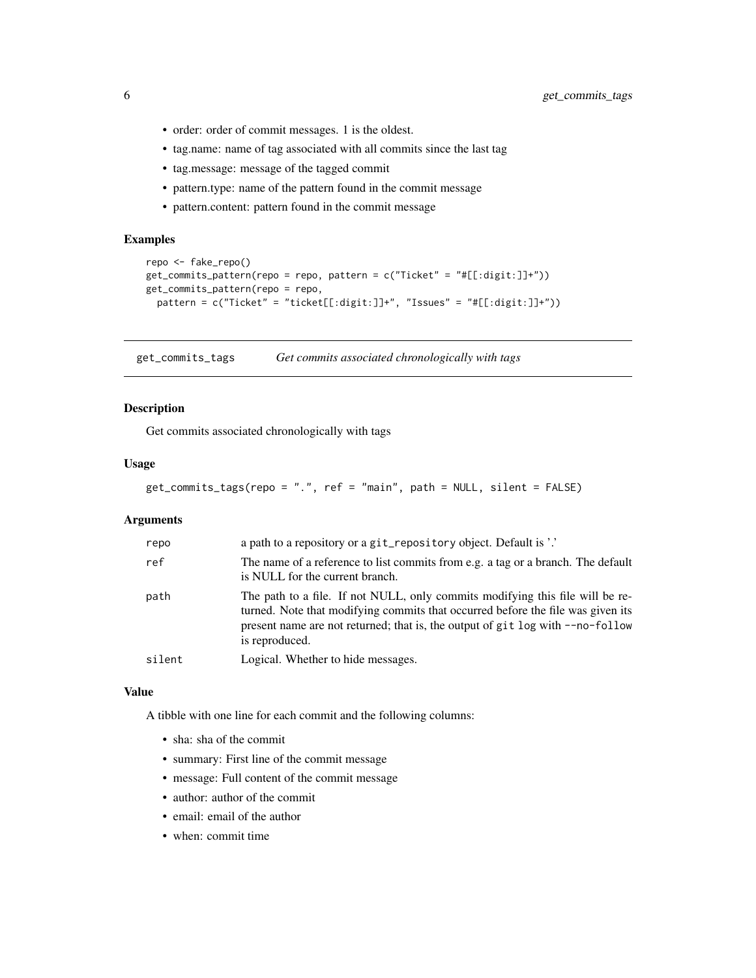- <span id="page-5-0"></span>• order: order of commit messages. 1 is the oldest.
- tag.name: name of tag associated with all commits since the last tag
- tag.message: message of the tagged commit
- pattern.type: name of the pattern found in the commit message
- pattern.content: pattern found in the commit message

# Examples

```
repo <- fake_repo()
get_commits_pattern(repo = repo, pattern = c("Ticket" = "#[[:digit:]]+"))
get_commits_pattern(repo = repo,
  pattern = c("Ticket" = "ticket[[:digit:]]+", "Issues" = "#[[:digit:]]+"))
```
get\_commits\_tags *Get commits associated chronologically with tags*

# Description

Get commits associated chronologically with tags

# Usage

```
get_commits_tags(repo = ".", ref = "main", path = NULL, silent = FALSE)
```
# Arguments

| repo   | a path to a repository or a git_repository object. Default is '.'                                                                                                                                                                                                    |
|--------|----------------------------------------------------------------------------------------------------------------------------------------------------------------------------------------------------------------------------------------------------------------------|
| ref    | The name of a reference to list commits from e.g. a tag or a branch. The default<br>is NULL for the current branch.                                                                                                                                                  |
| path   | The path to a file. If not NULL, only commits modifying this file will be re-<br>turned. Note that modifying commits that occurred before the file was given its<br>present name are not returned; that is, the output of git log with --no-follow<br>is reproduced. |
| silent | Logical. Whether to hide messages.                                                                                                                                                                                                                                   |

# Value

A tibble with one line for each commit and the following columns:

- sha: sha of the commit
- summary: First line of the commit message
- message: Full content of the commit message
- author: author of the commit
- email: email of the author
- when: commit time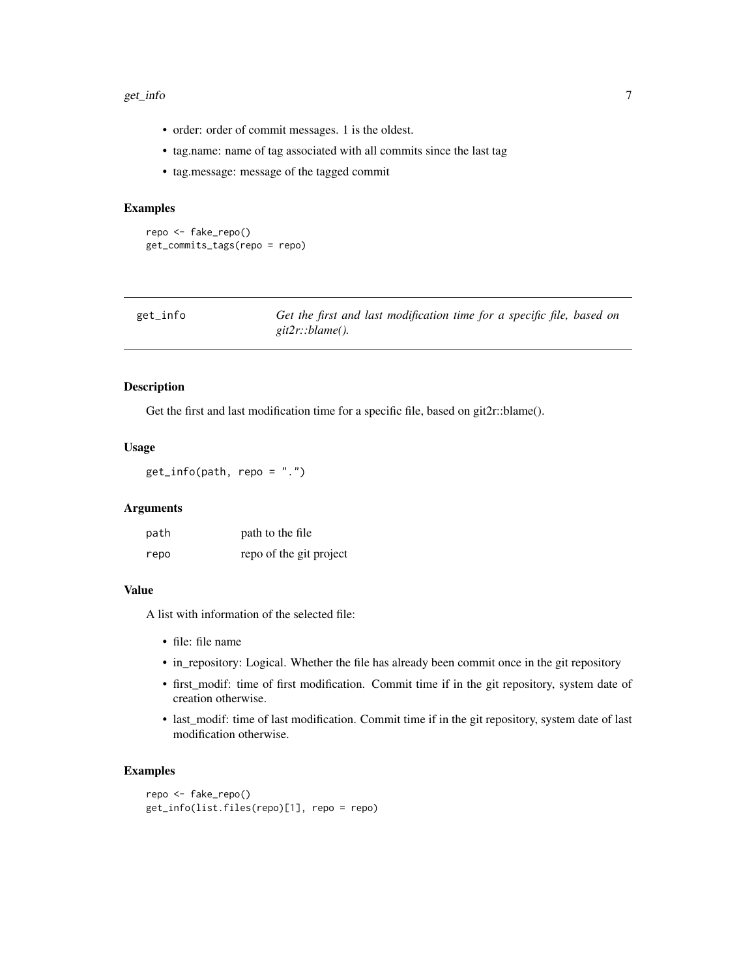#### <span id="page-6-0"></span>get\_info 7

- order: order of commit messages. 1 is the oldest.
- tag.name: name of tag associated with all commits since the last tag
- tag.message: message of the tagged commit

# Examples

```
repo <- fake_repo()
get_commits_tags(repo = repo)
```

| get_info | Get the first and last modification time for a specific file, based on |
|----------|------------------------------------------------------------------------|
|          | git $2r$ ::blame().                                                    |

# Description

Get the first and last modification time for a specific file, based on git2r::blame().

# Usage

```
get_info(path, repo = ".")
```
# Arguments

| path | path to the file        |
|------|-------------------------|
| repo | repo of the git project |

# Value

A list with information of the selected file:

- file: file name
- in\_repository: Logical. Whether the file has already been commit once in the git repository
- first\_modif: time of first modification. Commit time if in the git repository, system date of creation otherwise.
- last\_modif: time of last modification. Commit time if in the git repository, system date of last modification otherwise.

```
repo <- fake_repo()
get_info(list.files(repo)[1], repo = repo)
```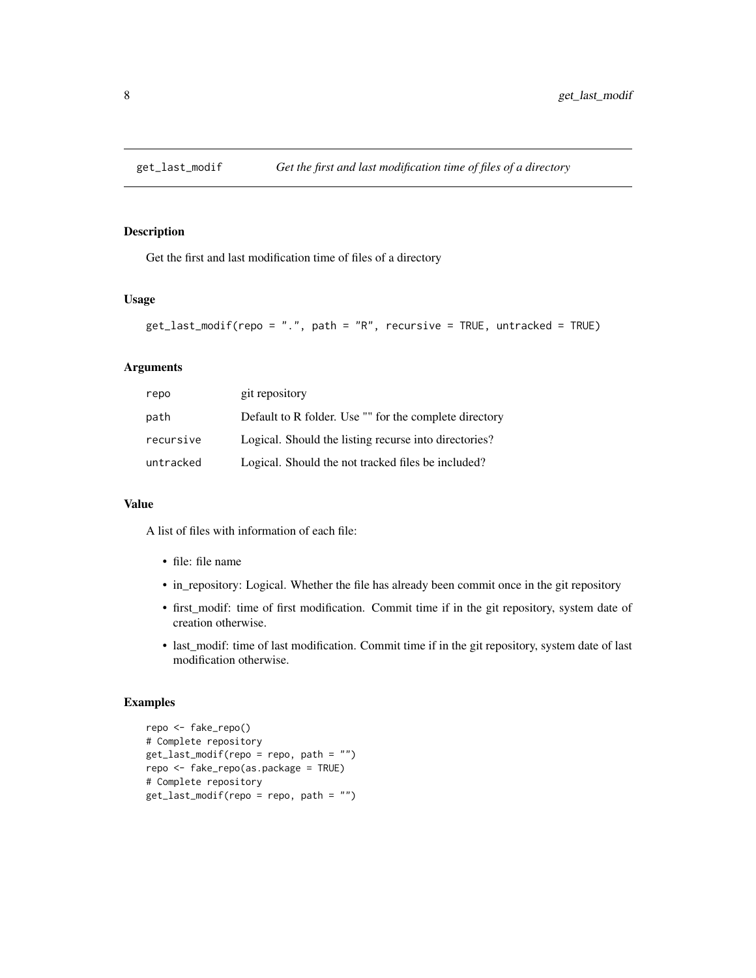<span id="page-7-0"></span>

# Description

Get the first and last modification time of files of a directory

# Usage

```
get_last_modif(repo = ".", path = "R", recursive = TRUE, untracked = TRUE)
```
# Arguments

| repo      | git repository                                         |
|-----------|--------------------------------------------------------|
| path      | Default to R folder. Use "" for the complete directory |
| recursive | Logical. Should the listing recurse into directories?  |
| untracked | Logical. Should the not tracked files be included?     |

# Value

A list of files with information of each file:

- file: file name
- in\_repository: Logical. Whether the file has already been commit once in the git repository
- first\_modif: time of first modification. Commit time if in the git repository, system date of creation otherwise.
- last\_modif: time of last modification. Commit time if in the git repository, system date of last modification otherwise.

```
repo <- fake_repo()
# Complete repository
get_last_modif(repo = repo, path = "")
repo <- fake_repo(as.package = TRUE)
# Complete repository
get_last_modif(repo = repo, path = "")
```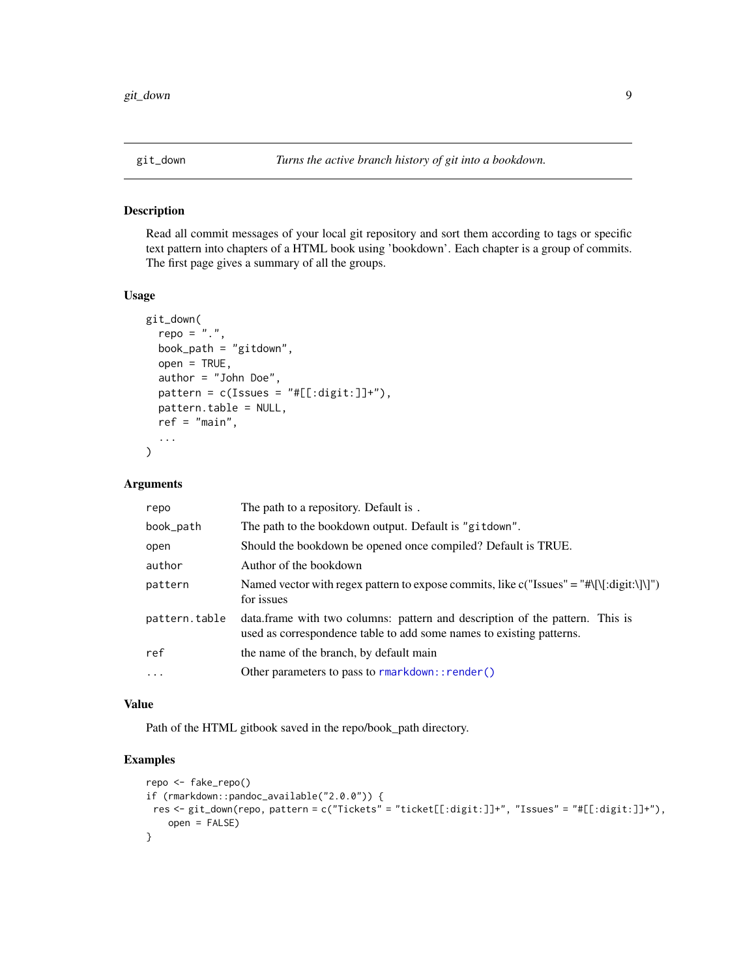# <span id="page-8-0"></span>Description

Read all commit messages of your local git repository and sort them according to tags or specific text pattern into chapters of a HTML book using 'bookdown'. Each chapter is a group of commits. The first page gives a summary of all the groups.

### Usage

```
git_down(
  repo = "."book_path = "gitdown",
 open = TRUE,author = "John Doe",
 pattern = c(Issues = "#[[:digit:]]+"),pattern.table = NULL,
 ref = "main",...
)
```
# Arguments

| repo          | The path to a repository. Default is.                                                                                                                 |
|---------------|-------------------------------------------------------------------------------------------------------------------------------------------------------|
| book_path     | The path to the bookdown output. Default is "gitdown".                                                                                                |
| open          | Should the bookdown be opened once compiled? Default is TRUE.                                                                                         |
| author        | Author of the bookdown                                                                                                                                |
| pattern       | Named vector with regex pattern to expose commits, like $c("Issues" = "\{\[:\]git:\]\}")$<br>for issues                                               |
| pattern.table | data. frame with two columns: pattern and description of the pattern. This is<br>used as correspondence table to add some names to existing patterns. |
| ref           | the name of the branch, by default main                                                                                                               |
| $\cdots$      | Other parameters to pass to rmarkdown:: render()                                                                                                      |

# Value

Path of the HTML gitbook saved in the repo/book\_path directory.

```
repo <- fake_repo()
if (rmarkdown::pandoc_available("2.0.0")) {
res <- git_down(repo, pattern = c("Tickets" = "ticket[[:digit:]]+", "Issues" = "#[[:digit:]]+"),
   open = FALSE)
}
```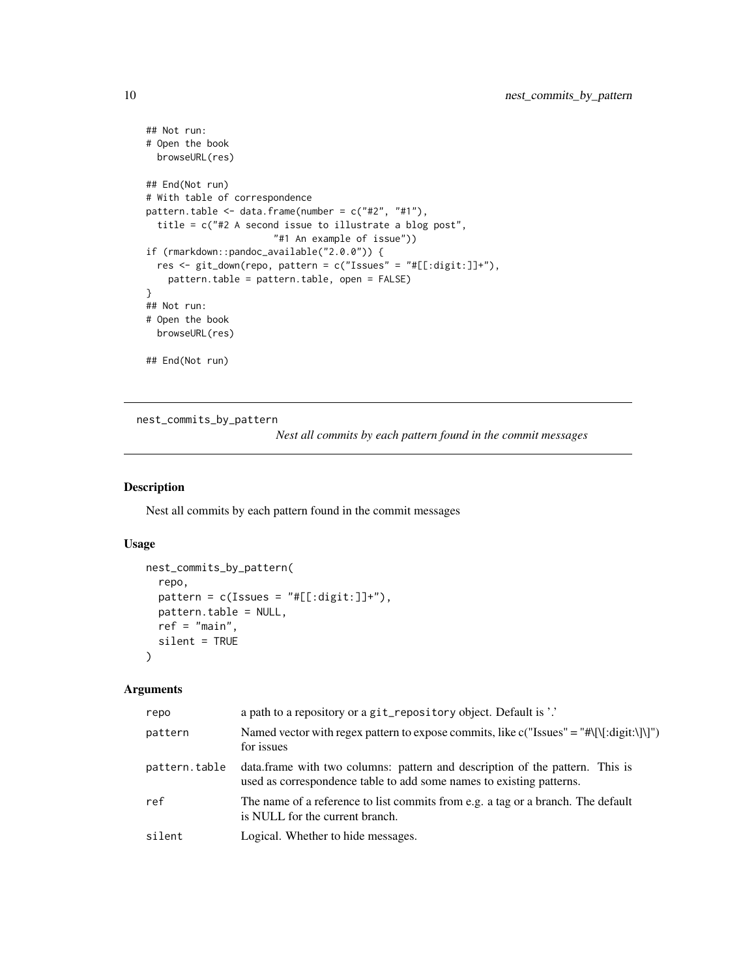```
## Not run:
# Open the book
 browseURL(res)
## End(Not run)
# With table of correspondence
pattern.table \leq data.frame(number = c("#2", "#1"),
  title = c("#2 A second issue to illustrate a blog post",
                       "#1 An example of issue"))
if (rmarkdown::pandoc_available("2.0.0")) {
  res <- git_down(repo, pattern = c("Issues" = "#[[:digit:]]+"),
   pattern.table = pattern.table, open = FALSE)
}
## Not run:
# Open the book
  browseURL(res)
## End(Not run)
```
nest\_commits\_by\_pattern

*Nest all commits by each pattern found in the commit messages*

# Description

Nest all commits by each pattern found in the commit messages

# Usage

```
nest_commits_by_pattern(
  repo,
 pattern = c(Issues = "#[[:digit:]]+"),pattern.table = NULL,
  ref = "main",
  silent = TRUE
\lambda
```
# Arguments

| repo          | a path to a repository or a git_repository object. Default is '.'                                                                                     |
|---------------|-------------------------------------------------------------------------------------------------------------------------------------------------------|
| pattern       | Named vector with regex pattern to expose commits, like c("Issues" = "#\[\[:digit:\]\]")<br>for issues                                                |
| pattern.table | data. frame with two columns: pattern and description of the pattern. This is<br>used as correspondence table to add some names to existing patterns. |
| ref           | The name of a reference to list commits from e.g. a tag or a branch. The default<br>is NULL for the current branch.                                   |
| silent        | Logical. Whether to hide messages.                                                                                                                    |

<span id="page-9-0"></span>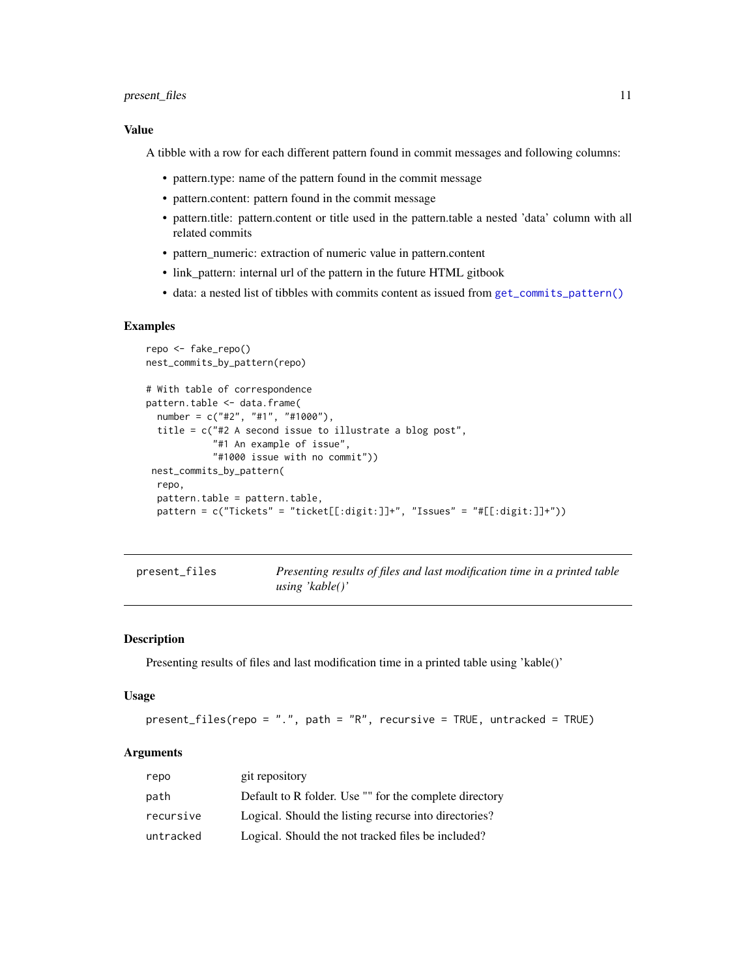# <span id="page-10-0"></span>present\_files 11

# Value

A tibble with a row for each different pattern found in commit messages and following columns:

- pattern.type: name of the pattern found in the commit message
- pattern.content: pattern found in the commit message
- pattern.title: pattern.content or title used in the pattern.table a nested 'data' column with all related commits
- pattern\_numeric: extraction of numeric value in pattern.content
- link\_pattern: internal url of the pattern in the future HTML gitbook
- data: a nested list of tibbles with commits content as issued from [get\\_commits\\_pattern\(\)](#page-4-1)

# Examples

```
repo <- fake_repo()
nest_commits_by_pattern(repo)
# With table of correspondence
pattern.table <- data.frame(
  number = c("#2", "#1", "#1000"),
  title = c("#2 A second issue to illustrate a blog post",
            "#1 An example of issue",
            "#1000 issue with no commit"))
 nest_commits_by_pattern(
  repo,
  pattern.table = pattern.table,
  pattern = c("Tickets" = "ticket[[:digit:]]+", " Issues" = "#[[:digit:]]+"))
```

| present_files | Presenting results of files and last modification time in a printed table |
|---------------|---------------------------------------------------------------------------|
|               | using 'kable()'                                                           |

# **Description**

Presenting results of files and last modification time in a printed table using 'kable()'

### Usage

```
present_files(repo = ".", path = "R", recursive = TRUE, untracked = TRUE)
```
# Arguments

| repo      | git repository                                         |
|-----------|--------------------------------------------------------|
| path      | Default to R folder. Use "" for the complete directory |
| recursive | Logical. Should the listing recurse into directories?  |
| untracked | Logical. Should the not tracked files be included?     |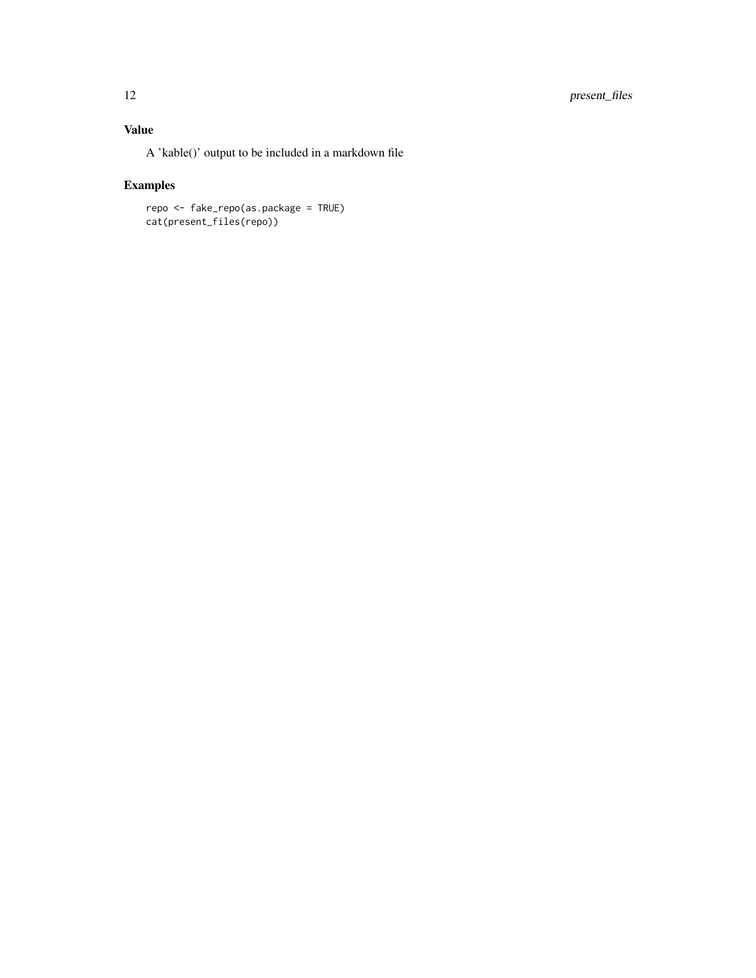# Value

A 'kable()' output to be included in a markdown file

# Examples

repo <- fake\_repo(as.package = TRUE) cat(present\_files(repo))